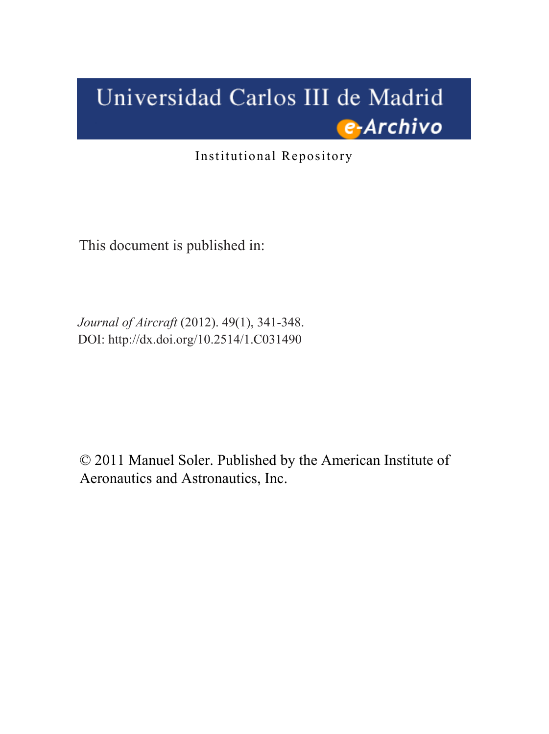# Universidad Carlos III de Madrid e-Archivo

Institutional Repository

This document is published in:

*Journal of Aircraft* (2012). 49(1), 341-348. DOI: <http://dx.doi.org/10.2514/1.C031490>

© 2011 Manuel Soler. Published by the American Institute of Aeronautics and Astronautics, Inc.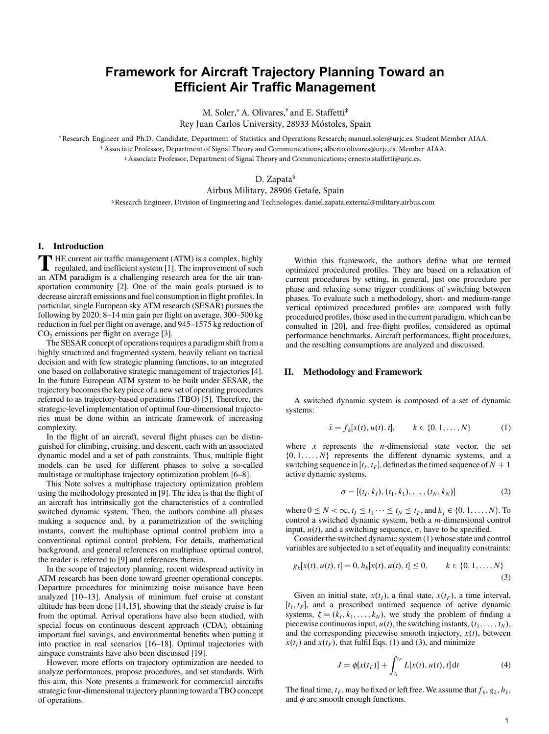# **Framework for Aircraft Trajectory Planning Toward an Efficient Air Traffic Management**

M. Soler,<sup>∗</sup>A. Olivares,† and E. Staffetti‡ Rey Juan Carlos University, 28933 Móstoles, Spain

<sup>∗</sup>Research Engineer and Ph.D. Candidate, Department of Statistics and Operations Research; manuel.soler@urjc.es. Student Member AIAA. †Associate Professor, Department of Signal Theory and Communications; alberto.olivares@urjc.es. Member AIAA. ‡Associate Professor, Department of Signal Theory and Communications; ernesto.staffetti@urjc.es.

D. Zapata§

Airbus Military, 28906 Getafe, Spain

§Research Engineer, Division of Engineering and Technologies; daniel.zapata.external@military.airbus.com

#### I. Introduction

THE current air traffic management (ATM) is a complex, highly regulated, and inefficient system [1]. The improvement of such an ATM paradigm is a challenging research area for the air transportation community [2]. One of the main goals pursued is to decrease aircraft emissions and fuel consumption in flight profiles. In particular, single European sky ATM research (SESAR) pursues the following by 2020: 8–14 min gain per flight on average, 300–500 kg reduction in fuel per flight on average, and 945–1575 kg reduction of  $CO<sub>2</sub>$  emissions per flight on average [3].

The SESAR concept of operations requires a paradigm shift from a highly structured and fragmented system, heavily reliant on tactical decision and with few strategic planning functions, to an integrated one based on collaborative strategic management of trajectories [4]. In the future European ATM system to be built under SESAR, the trajectory becomes the key piece of a new set of operating procedures referred to as trajectory-based operations (TBO) [5]. Therefore, the strategic-level implementation of optimal four-dimensional trajectories must be done within an intricate framework of increasing complexity.

In the flight of an aircraft, several flight phases can be distinguished for climbing, cruising, and descent, each with an associated dynamic model and a set of path constraints. Thus, multiple flight models can be used for different phases to solve a so-called multistage or multiphase trajectory optimization problem [6–8].

This Note solves a multiphase trajectory optimization problem using the methodology presented in [9]. The idea is that the flight of an aircraft has intrinsically got the characteristics of a controlled switched dynamic system. Then, the authors combine all phases making a sequence and, by a parametrization of the switching instants, convert the multiphase optimal control problem into a conventional optimal control problem. For details, mathematical background, and general references on multiphase optimal control, the reader is referred to [9] and references therein.

In the scope of trajectory planning, recent widespread activity in ATM research has been done toward greener operational concepts. Departure procedures for minimizing noise nuisance have been analyzed [10–13]. Analysis of minimum fuel cruise at constant altitude has been done [14,15], showing that the steady cruise is far from the optimal. Arrival operations have also been studied, with special focus on continuous descent approach (CDA), obtaining important fuel savings, and environmental benefits when putting it into practice in real scenarios [16–18]. Optimal trajectories with airspace constraints have also been discussed [19].

However, more efforts on trajectory optimization are needed to analyze performances, propose procedures, and set standards. With this aim, this Note presents a framework for commercial aircrafts strategic four-dimensional trajectory planning toward a TBO concept of operations.

Within this framework, the authors define what are termed optimized procedured profiles. They are based on a relaxation of current procedures by setting, in general, just one procedure per phase and relaxing some trigger conditions of switching between phases. To evaluate such a methodology, short- and medium-range vertical optimized procedured profiles are compared with fully procedured profiles, those used in the current paradigm, which can be consulted in [20], and free-flight profiles, considered as optimal performance benchmarks. Aircraft performances, flight procedures, and the resulting consumptions are analyzed and discussed.

# II. Methodology and Framework

A switched dynamic system is composed of a set of dynamic systems:

$$
\dot{x} = f_k[x(t), u(t), t], \qquad k \in \{0, 1, \dots, N\}
$$
 (1)

where  $x$  represents the  $n$ -dimensional state vector, the set  $\{0, 1, \ldots, N\}$  represents the different dynamic systems, and a switching sequence in  $[t_I, t_F]$ , defined as the timed sequence of  $N + 1$ active dynamic systems,

$$
\sigma = [(t_1, k_1), (t_1, k_1), \dots, (t_N, k_N)]
$$
\n(2)

where  $0 \le N < \infty$ ,  $t_1 \le t_1 \cdots \le t_N \le t_F$ , and  $k_i \in \{0, 1, ..., N\}$ . To control a switched dynamic system, both a *m*-dimensional control input,  $u(t)$ , and a switching sequence,  $\sigma$ , have to be specified.

Consider the switched dynamic system (1) whose state and control variables are subjected to a set of equality and inequality constraints:

$$
g_k[x(t), u(t), t] = 0, h_k[x(t), u(t), t] \le 0, \qquad k \in \{0, 1, ..., N\}
$$
\n(3)

Given an initial state,  $x(t)$ , a final state,  $x(t)$ , a time interval,  $[t_I, t_F]$ , and a prescribed untimed sequence of active dynamic systems,  $\zeta = (k_1, k_1, \dots, k_N)$ , we study the problem of finding a piecewise continuous input,  $u(t)$ , the switching instants,  $(t_1, \ldots, t_N)$ , and the corresponding piecewise smooth trajectory,  $x(t)$ , between  $x(t)$  and  $x(t)$ , that fulfil Eqs. (1) and (3), and minimize

$$
J = \phi[x(t_F)] + \int_{t_I}^{t_F} L[x(t), u(t), t] dt
$$
 (4)

The final time,  $t_F$ , may be fixed or left free. We assume that  $f_k$ ,  $g_k$ ,  $h_k$ , and  $\phi$  are smooth enough functions.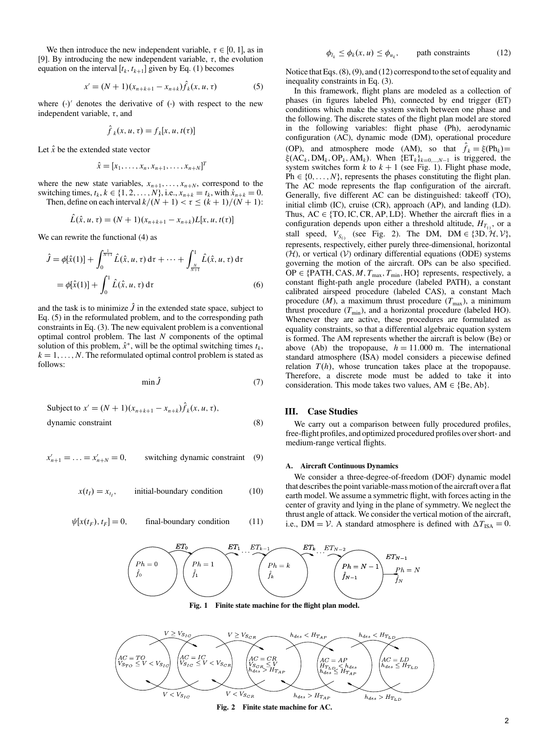We then introduce the new independent variable,  $\tau \in [0, 1]$ , as in [9]. By introducing the new independent variable,  $\tau$ , the evolution equation on the interval  $[t_k, t_{k+1}]$  given by Eq. (1) becomes

$$
x' = (N+1)(x_{n+k+1} - x_{n+k})\hat{f}_k(x, u, \tau)
$$
\n(5)

where  $(\cdot)'$  denotes the derivative of  $(\cdot)$  with respect to the new independent variable,  $\tau$ , and

$$
\hat{f}_k(x, u, \tau) = f_k[x, u, t(\tau)]
$$

Let  $\hat{x}$  be the extended state vector

$$
\hat{x} = [x_1, \dots, x_n, x_{n+1}, \dots, x_{n+N}]^T
$$

where the new state variables,  $x_{n+1}, \ldots, x_{n+N}$ , correspond to the switching times,  $t_k$ ,  $k \in \{1, 2, ..., N\}$ , i.e.,  $x_{n+k} = t_k$ , with  $\dot{x}_{n+k} = 0$ . Then, define on each interval  $k/(N + 1) < \tau \leq (k + 1)/(N + 1)$ :

$$
\hat{L}(\hat{x}, u, \tau) = (N + 1)(x_{n+k+1} - x_{n+k})L[x, u, t(\tau)]
$$

We can rewrite the functional (4) as

$$
\hat{J} = \phi[\hat{x}(1)] + \int_0^{\frac{1}{N+1}} \hat{L}(\hat{x}, u, \tau) d\tau + \dots + \int_{\frac{N}{N+1}}^1 \hat{L}(\hat{x}, u, \tau) d\tau \n= \phi[\hat{x}(1)] + \int_0^1 \hat{L}(\hat{x}, u, \tau) d\tau
$$
\n(6)

and the task is to minimize  $\hat{J}$  in the extended state space, subject to Eq. (5) in the reformulated problem, and to the corresponding path constraints in Eq. (3). The new equivalent problem is a conventional optimal control problem. The last *N* components of the optimal solution of this problem,  $\hat{x}^*$ , will be the optimal switching times  $t_k$ ,  $k = 1, \ldots, N$ . The reformulated optimal control problem is stated as follows:

$$
\min \hat{J} \tag{7}
$$

Subject to 
$$
x' = (N + 1)(x_{n+k+1} - x_{n+k})\hat{f}_k(x, u, \tau)
$$
,  
dynamic constraint (8)

 $x'_{n+1} = \ldots = x'_{n}$ *switching dynamic constraint* (9)

$$
x(t_I) = x_{t_I}, \qquad \text{initial-boundary condition} \tag{10}
$$

$$
\psi[x(t_F), t_F] = 0, \qquad \text{final-boundary condition} \tag{11}
$$

$$
\phi_{l_k} \le \phi_k(x, u) \le \phi_{u_k}, \qquad \text{path constraints} \tag{12}
$$

Notice that Eqs. (8), (9), and (12) correspond to the set of equality and inequality constraints in Eq. (3).

In this framework, flight plans are modeled as a collection of phases (in figures labeled Ph), connected by end trigger (ET) conditions which make the system switch between one phase and the following. The discrete states of the flight plan model are stored in the following variables: flight phase (Ph), aerodynamic configuration (AC), dynamic mode (DM), operational procedure (OP), and atmosphere mode (AM), so that  $\hat{f}_k = \xi(\text{Ph}_k)$  $\xi$ (AC<sub>k</sub>, DM<sub>k</sub>, OP<sub>k</sub>, AM<sub>k</sub>). When  $\{ET_k\}_{k=0,\dots,N-1}$  is triggered, the system switches form  $k$  to  $k + 1$  (see Fig. 1). Flight phase mode,  $Ph \in \{0, \ldots, N\}$ , represents the phases constituting the flight plan. The AC mode represents the flap configuration of the aircraft. Generally, five different AC can be distinguished: takeoff (TO), initial climb (IC), cruise (CR), approach (AP), and landing (LD). Thus,  $AC \in \{TO, IC, CR, AP, LD\}$ . Whether the aircraft flies in a configuration depends upon either a threshold altitude,  $H_{T_{(1)}}$ , or a stall speed,  $V_{S_{(t)}}$  (see Fig. 2). The DM, DM  $\in \{3D, H, V\}$ , represents, respectively, either purely three-dimensional, horizontal  $(H)$ , or vertical  $(V)$  ordinary differential equations (ODE) systems governing the motion of the aircraft. OPs can be also specified. OP  $\in$  {PATH, CAS, *M*,  $T_{\text{max}}$ ,  $T_{\text{min}}$ , HO} represents, respectively, a constant flight-path angle procedure (labeled PATH), a constant calibrated airspeed procedure (labeled CAS), a constant Mach procedure  $(M)$ , a maximum thrust procedure  $(T_{\text{max}})$ , a minimum thrust procedure  $(T_{min})$ , and a horizontal procedure (labeled HO). Whenever they are active, these procedures are formulated as equality constraints, so that a differential algebraic equation system is formed. The AM represents whether the aircraft is below (Be) or above (Ab) the tropopause,  $h = 11.000$  m. The international standard atmosphere (ISA) model considers a piecewise defined relation  $T(h)$ , whose truncation takes place at the tropopause. Therefore, a discrete mode must be added to take it into consideration. This mode takes two values,  $AM \in \{Be, Ab\}$ .

# III. Case Studies

We carry out a comparison between fully procedured profiles, free-flight profiles, and optimized procedured profiles over short- and medium-range vertical flights.

#### A. Aircraft Continuous Dynamics

We consider a three-degree-of-freedom (DOF) dynamic model that describes the point variable-mass motion of the aircraft over a flat earth model. We assume a symmetric flight, with forces acting in the center of gravity and lying in the plane of symmetry. We neglect the thrust angle of attack. We consider the vertical motion of the aircraft, i.e., DM =  $V$ . A standard atmosphere is defined with  $\Delta T_{\text{ISA}} = 0$ .



Fig. 1 Finite state machine for the flight plan model.



Fig. 2 Finite state machine for AC.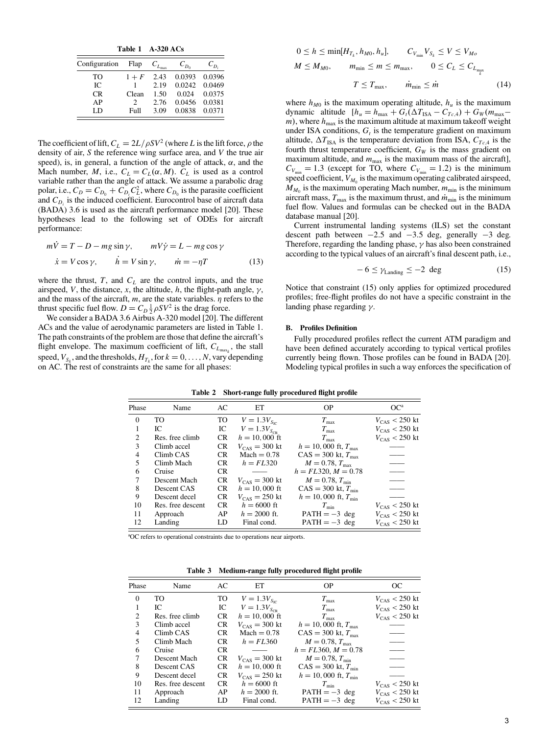Table 1 A-320 ACs

| Configuration | Flap          | $C_{L_{\rm max}}$ | $C_{D_0}$ | $C_{D_i}$ |
|---------------|---------------|-------------------|-----------|-----------|
| TO            | $1 + F$       | 2.43              | 0.0393    | 0.0396    |
| Ю             |               | 2.19              | 0.0242    | 0.0469    |
| <b>CR</b>     | Clean         | 1.50              | 0.024     | 0.0375    |
| AP            | $\mathcal{D}$ | 2.76              | 0.0456    | 0.0381    |
| LD            | Full          | 3.09              | 0.0838    | 0.0371    |

The coefficient of lift,  $C_L = 2L/\rho SV^2$  (where *L* is the lift force,  $\rho$  the density of air, *S* the reference wing surface area, and *V* the true air speed), is, in general, a function of the angle of attack,  $\alpha$ , and the Mach number, *M*, i.e.,  $C_L = C_L(\alpha, M)$ .  $C_L$  is used as a control variable rather than the angle of attack. We assume a parabolic drag polar, i.e.,  $C_D = C_{D_0} + C_{D_i} C_L^2$ , where  $C_{D_0}$  is the parasite coefficient and  $C_{D_i}$  is the induced coefficient. Eurocontrol base of aircraft data (BADA) 3.6 is used as the aircraft performance model [20]. These hypotheses lead to the following set of ODEs for aircraft performance:

$$
m\dot{V} = T - D - mg\sin\gamma, \qquad mV\dot{\gamma} = L - mg\cos\gamma
$$
  

$$
\dot{x} = V\cos\gamma, \qquad \dot{h} = V\sin\gamma, \qquad \dot{m} = -\eta T
$$
 (13)

where the thrust,  $T$ , and  $C<sub>L</sub>$  are the control inputs, and the true airspeed, *V*, the distance, *x*, the altitude, *h*, the flight-path angle,  $\gamma$ , and the mass of the aircraft,  $m$ , are the state variables.  $\eta$  refers to the thrust specific fuel flow.  $D = C_D \frac{1}{2} \rho S V^2$  is the drag force.

We consider a BADA 3.6 Airbus A-320 model [20]. The different ACs and the value of aerodynamic parameters are listed in Table 1. The path constraints of the problem are those that define the aircraft's flight envelope. The maximum coefficient of lift,  $C_{L_{\text{max}_k}}$ , the stall speed,  $V_{S_k}$ , and the thresholds,  $H_{T_k}$ , for  $k = 0, \ldots, N$ , vary depending on AC. The rest of constraints are the same for all phases:

$$
0 \le h \le \min[H_{T_k}, h_{M0}, h_u], \qquad C_{V_{\min}} V_{S_k} \le V \le V_{M0}
$$
  

$$
M \le M_{M0}, \qquad m_{\min} \le m \le m_{\max}, \qquad 0 \le C_L \le C_{L_{\max}}
$$
  

$$
T \le T_{\max}, \qquad \dot{m}_{\min} \le \dot{m}
$$
 (14)

where  $h_{M0}$  is the maximum operating altitude,  $h_u$  is the maximum dynamic altitude  $[h_u = h_{\text{max}} + G_t(\Delta T_{\text{ISA}} - C_{Tc,4}) + G_W(m_{\text{max}}$  $m$ , where  $h_{\text{max}}$  is the maximum altitude at maximum takeoff weight under ISA conditions,  $G_t$  is the temperature gradient on maximum altitude,  $\Delta T_{\text{ISA}}$  is the temperature deviation from ISA,  $C_{Tc,4}$  is the fourth thrust temperature coefficient,  $G_W$  is the mass gradient on maximum altitude, and  $m_{\text{max}}$  is the maximum mass of the aircraft],  $C_{V_{\text{min}}} = 1.3$  (except for TO, where  $C_{V_{\text{min}}} = 1.2$ ) is the minimum speed coefficient,  $V_{M_0}$  is the maximum operating calibrated airspeed,  $M_{M_0}$  is the maximum operating Mach number,  $m_{\text{min}}$  is the minimum aircraft mass,  $T_{\text{max}}$  is the maximum thrust, and  $\dot{m}_{\text{min}}$  is the minimum fuel flow. Values and formulas can be checked out in the BADA database manual [20].

Current instrumental landing systems (ILS) set the constant descent path between  $-2.5$  and  $-3.5$  deg, generally  $-3$  deg. Therefore, regarding the landing phase,  $\gamma$  has also been constrained according to the typical values of an aircraft's final descent path, i.e.,

$$
-6 \le \gamma_{\text{Landing}} \le -2 \text{ deg} \tag{15}
$$

Notice that constraint (15) only applies for optimized procedured profiles; free-flight profiles do not have a specific constraint in the landing phase regarding  $\gamma$ .

#### B. Profiles Definition

Fully procedured profiles reflect the current ATM paradigm and have been defined accurately according to typical vertical profiles currently being flown. Those profiles can be found in BADA [20]. Modeling typical profiles in such a way enforces the specification of

|          | 1 avit 4<br>short-range runy procedured ingin prome |           |                                   |                                   |                           |  |  |  |  |  |
|----------|-----------------------------------------------------|-----------|-----------------------------------|-----------------------------------|---------------------------|--|--|--|--|--|
| Phase    | Name                                                | AC        | ET                                | OP.                               | OC <sup>a</sup>           |  |  |  |  |  |
| $\Omega$ | TO                                                  | TO        | $V = 1.3V_{S_{1c}}$               | $T_{\rm max}$                     | $V_{\text{CAS}} < 250$ kt |  |  |  |  |  |
|          | IC                                                  | IC        | $V = 1.3 V_{S_{CR}}$              | $T_{\rm max}$                     | $V_{\text{CAS}} < 250$ kt |  |  |  |  |  |
| 2        | Res. free climb                                     | CR.       | $h = 10,000$ ft                   | $T_{\rm max}$                     | $V_{\text{CAS}} < 250$ kt |  |  |  |  |  |
| 3        | Climb accel                                         | CR.       | $V_{\text{CAS}} = 300 \text{ kt}$ | $h = 10,000$ ft, $T_{\text{max}}$ |                           |  |  |  |  |  |
| 4        | Climb CAS                                           | CR.       | $Mach = 0.78$                     | $CAS = 300$ kt, $T_{\text{max}}$  |                           |  |  |  |  |  |
| 5        | Climb Mach                                          | <b>CR</b> | $h = FL320$                       | $M = 0.78$ , $T_{\text{max}}$     |                           |  |  |  |  |  |
| 6        | Cruise                                              | <b>CR</b> |                                   | $h = FL320, M = 0.78$             |                           |  |  |  |  |  |
| 7        | Descent Mach                                        | <b>CR</b> | $V_{\text{CAS}} = 300 \text{ kt}$ | $M = 0.78, T_{\min}$              |                           |  |  |  |  |  |
| 8        | Descent CAS                                         | CR.       | $h = 10,000$ ft                   | $CAS = 300$ kt, $T_{min}$         |                           |  |  |  |  |  |
| 9        | Descent decel                                       | <b>CR</b> | $V_{\text{CAS}} = 250 \text{ kt}$ | $h = 10,000$ ft, $T_{\text{min}}$ |                           |  |  |  |  |  |
| 10       | Res. free descent                                   | <b>CR</b> | $h = 6000$ ft                     | $T_{\min}$                        | $V_{\text{CAS}} < 250$ kt |  |  |  |  |  |
| 11       | Approach                                            | AP        | $h = 2000$ ft.                    | $PATH = -3$ deg                   | $V_{\text{CAS}} < 250$ kt |  |  |  |  |  |
| 12       | Landing                                             | LD        | Final cond.                       | $PATH = -3$ deg                   | $V_{\text{CAS}} < 250$ kt |  |  |  |  |  |

Table 2 Short-range fully procedured flight profile

a OC refers to operational constraints due to operations near airports.

Table 3 Medium-range fully procedured flight profile

| Phase          | Name              | AC        | ET                                | <b>OP</b>                         | OC                        |
|----------------|-------------------|-----------|-----------------------------------|-----------------------------------|---------------------------|
| $\Omega$       | <b>TO</b>         | TO        | $V = 1.3 V_{S_{\text{sc}}}$       | $T_{\rm max}$                     | $V_{\text{CAS}} < 250$ kt |
|                | IС                | IC        | $V = 1.3 V_{S_{CP}}$              | $T_{\rm max}$                     | $V_{\text{CAS}} < 250$ kt |
| $\overline{c}$ | Res. free climb   | <b>CR</b> | $h = 10,000$ ft                   | $T_{\rm max}$                     | $V_{\text{CAS}} < 250$ kt |
| 3              | Climb accel       | <b>CR</b> | $V_{\text{CAS}} = 300 \text{ kt}$ | $h = 10,000$ ft, $T_{\text{max}}$ |                           |
| $\overline{4}$ | Climb CAS         | CR.       | $Mach = 0.78$                     | $CAS = 300$ kt, $T_{\text{max}}$  |                           |
| 5              | Climb Mach        | CR.       | $h = FL360$                       | $M = 0.78$ , $T_{\text{max}}$     |                           |
| 6              | Cruise            | CR.       |                                   | $h = FL360, M = 0.78$             |                           |
| 7              | Descent Mach      | <b>CR</b> | $V_{\text{CAS}} = 300 \text{ kt}$ | $M = 0.78$ , $T_{\text{min}}$     |                           |
| 8              | Descent CAS       | CR.       | $h = 10,000$ ft                   | $CAS = 300$ kt, $T_{\text{min}}$  |                           |
| 9              | Descent decel     | CR.       | $V_{\text{CAS}} = 250 \text{ kt}$ | $h = 10,000$ ft, $T_{\text{min}}$ |                           |
| 10             | Res. free descent | CR.       | $h = 6000$ ft                     | $T_{\rm min}$                     | $V_{\text{CAS}} < 250$ kt |
| 11             | Approach          | AP        | $h = 2000$ ft.                    | $PATH = -3$ deg                   | $V_{\text{CAS}} < 250$ kt |
| 12             | Landing           | LD        | Final cond.                       | $PATH = -3$ deg                   | $V_{\text{CAS}} < 250$ kt |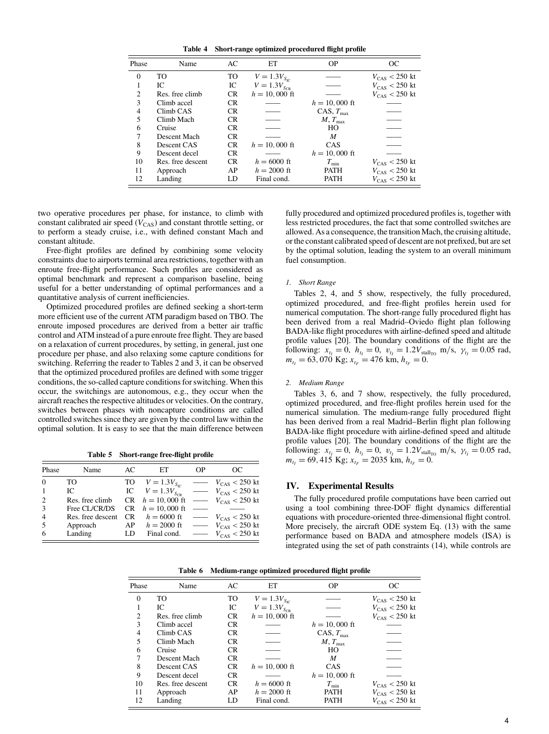Table 4 Short-range optimized procedured flight profile

| Phase          | Name              | AC        | ET                   | OP.                   | OC                        |
|----------------|-------------------|-----------|----------------------|-----------------------|---------------------------|
| $\theta$       | <b>TO</b>         | TO        | $V = 1.3 V_{S_{1C}}$ |                       | $V_{\rm CAS}<250$ kt      |
|                | IC                | IC        | $V = 1.3 V_{S_{CP}}$ |                       | $V_{\text{CAS}} < 250$ kt |
| 2              | Res. free climb   | <b>CR</b> | $h = 10,000$ ft      |                       | $V_{\text{CAS}} < 250$ kt |
| 3              | Climb accel       | <b>CR</b> |                      | $h = 10,000$ ft       |                           |
| $\overline{4}$ | Climb CAS         | <b>CR</b> |                      | CAS, $T_{\text{max}}$ |                           |
| 5              | Climb Mach        | CR.       |                      | $M, T_{\text{max}}$   |                           |
| 6              | Cruise            | CR.       |                      | HO                    |                           |
| 7              | Descent Mach      | CR.       |                      | M                     |                           |
| 8              | Descent CAS       | <b>CR</b> | $h = 10,000$ ft      | CAS                   |                           |
| 9              | Descent decel     | <b>CR</b> |                      | $h = 10,000$ ft       |                           |
| 10             | Res. free descent | <b>CR</b> | $h = 6000$ ft        | $T_{\rm min}$         | $V_{\rm CAS}<250$ kt      |
| 11             | Approach          | AP        | $h = 2000$ ft        | PATH                  | $V_{\text{CAS}} < 250$ kt |
| 12             | Landing           | LD        | Final cond.          | <b>PATH</b>           | $V_{\text{CAS}} < 250$ kt |

two operative procedures per phase, for instance, to climb with constant calibrated air speed  $(V_{\text{CAS}})$  and constant throttle setting, or to perform a steady cruise, i.e., with defined constant Mach and constant altitude.

Free-flight profiles are defined by combining some velocity constraints due to airports terminal area restrictions, together with an enroute free-flight performance. Such profiles are considered as optimal benchmark and represent a comparison baseline, being useful for a better understanding of optimal performances and a quantitative analysis of current inefficiencies.

Optimized procedured profiles are defined seeking a short-term more efficient use of the current ATM paradigm based on TBO. The enroute imposed procedures are derived from a better air traffic control and ATM instead of a pure enroute free flight. They are based on a relaxation of current procedures, by setting, in general, just one procedure per phase, and also relaxing some capture conditions for switching. Referring the reader to Tables 2 and 3, it can be observed that the optimized procedured profiles are defined with some trigger conditions, the so-called capture conditions for switching. When this occur, the switchings are autonomous, e.g., they occur when the aircraft reaches the respective altitudes or velocities. On the contrary, switches between phases with noncapture conditions are called controlled switches since they are given by the control law within the optimal solution. It is easy to see that the main difference between

Table 5 Short-range free-flight profile

| Phase          | Name              | AC. | ET                                          | OΡ                | OC.                                  |
|----------------|-------------------|-----|---------------------------------------------|-------------------|--------------------------------------|
| $\theta$       | TО                |     | TO $V = 1.3V_{S_{\text{IC}}}$               |                   | — $V_{\text{CAS}} < 250 \text{ kt}$  |
| $\mathbf{1}$   | IC.               |     | IC $V = 1.3V_{S_{CP}}$ — $V_{CAS} < 250$ kt |                   |                                      |
| $\overline{2}$ | Res. free climb   |     | CR $h = 10,000$ ft                          |                   | — $V_{\text{CAS}} < 250 \text{ kt}$  |
| 3              | Free CL/CR/DS     |     | CR $h = 10,000$ ft                          |                   |                                      |
| $\overline{4}$ | Res. free descent |     | CR $h = 6000$ ft                            |                   | —— $V_{\text{CAS}} < 250 \text{ kt}$ |
| 5              | Approach          |     | $AP$ $h = 2000$ ft                          |                   | —— $V_{\text{CAS}} < 250 \text{ kt}$ |
| 6              | Landing           | LD  | Final cond.                                 | $\hspace{0.05cm}$ | $V_{\text{CAS}} < 250$ kt            |

fully procedured and optimized procedured profiles is, together with less restricted procedures, the fact that some controlled switches are allowed. As a consequence, the transition Mach, the cruising altitude, or the constant calibrated speed of descent are not prefixed, but are set by the optimal solution, leading the system to an overall minimum fuel consumption.

# 1. Short Range

Tables 2, 4, and 5 show, respectively, the fully procedured, optimized procedured, and free-flight profiles herein used for numerical computation. The short-range fully procedured flight has been derived from a real Madrid–Oviedo flight plan following BADA-like flight procedures with airline-defined speed and altitude profile values [20]. The boundary conditions of the flight are the following:  $x_{t_I} = 0$ ,  $h_{t_I} = 0$ ,  $v_{t_I} = 1.2V_{\text{stall}_{\text{TO}}}$  m/s,  $\gamma_{t_I} = 0.05$  rad,  $m_{t_I} = 63,070 \text{ Kg}; x_{t_F} = 476 \text{ km}, h_{t_F} = 0.$ 

#### 2. Medium Range

Tables 3, 6, and 7 show, respectively, the fully procedured, optimized procedured, and free-flight profiles herein used for the numerical simulation. The medium-range fully procedured flight has been derived from a real Madrid–Berlin flight plan following BADA-like flight procedure with airline-defined speed and altitude profile values [20]. The boundary conditions of the flight are the following:  $x_{t_1} = 0$ ,  $h_{t_1} = 0$ ,  $v_{t_1} = 1.2V_{\text{stall}_{\text{TO}}}$  m/s,  $\gamma_{t_1} = 0.05$  rad,  $m_{t_1} = 69,415$  Kg;  $x_{t_F} = 2035$  km,  $h_{t_F} = 0$ .

# IV. Experimental Results

The fully procedured profile computations have been carried out using a tool combining three-DOF flight dynamics differential equations with procedure-oriented three-dimensional flight control. More precisely, the aircraft ODE system Eq. (13) with the same performance based on BADA and atmosphere models (ISA) is integrated using the set of path constraints (14), while controls are

|  | Table 6 Medium-range optimized procedured flight profile |  |  |  |
|--|----------------------------------------------------------|--|--|--|
|--|----------------------------------------------------------|--|--|--|

| Phase          | Name              | AC        | ET                  | <b>OP</b>             | <sub>OC</sub>             |
|----------------|-------------------|-----------|---------------------|-----------------------|---------------------------|
| $\Omega$       | <b>TO</b>         | TO        | $V = 1.3V_{S_{10}}$ |                       | $V_{\text{CAS}} < 250$ kt |
|                | IC                | IC        | $V = 1.3V_{S_{CP}}$ |                       | $V_{\text{CAS}} < 250$ kt |
| $\overline{c}$ | Res. free climb   | <b>CR</b> | $h = 10,000$ ft     |                       | $V_{\text{CAS}} < 250$ kt |
| 3              | Climb accel       | <b>CR</b> |                     | $h = 10,000$ ft       |                           |
| 4              | Climb CAS         | CR.       |                     | CAS, $T_{\text{max}}$ |                           |
| 5              | Climb Mach        | <b>CR</b> |                     | $M, T_{\text{max}}$   |                           |
| 6              | Cruise            | CR.       |                     | HO                    |                           |
| 7              | Descent Mach      | <b>CR</b> |                     | M                     |                           |
| 8              | Descent CAS       | <b>CR</b> | $h = 10,000$ ft     | CAS                   |                           |
| 9              | Descent decel     | CR.       |                     | $h = 10,000$ ft       |                           |
| 10             | Res. free descent | <b>CR</b> | $h = 6000$ ft       | $T_{\min}$            | $V_{\text{CAS}} < 250$ kt |
| 11             | Approach          | AP        | $h = 2000$ ft       | <b>PATH</b>           | $V_{\text{CAS}} < 250$ kt |
| 12             | Landing           | LD        | Final cond.         | <b>PATH</b>           | $V_{\text{CAS}} < 250$ kt |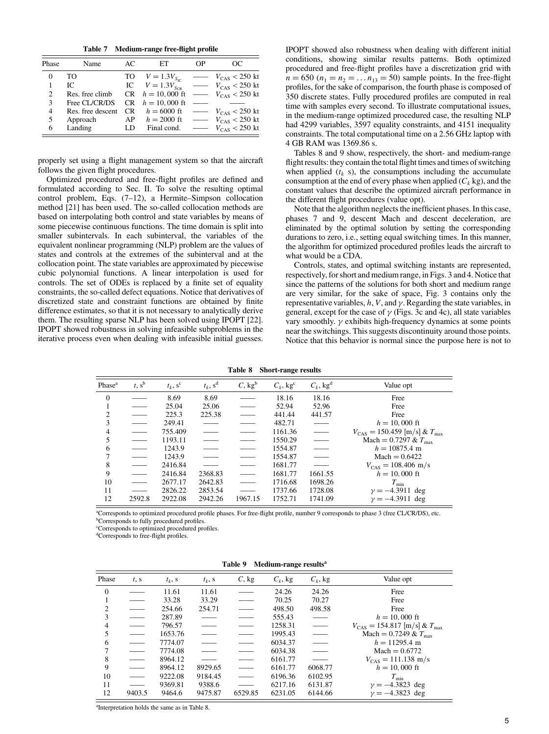Table 7 Medium-range free-flight profile

| Phase          | Name              | AC | ET                                          | OΡ                                | റല                                   |
|----------------|-------------------|----|---------------------------------------------|-----------------------------------|--------------------------------------|
| $\Omega$       | TО                |    | TO $V = 1.3V_{S_{\text{sc}}}$               | $\overbrace{\hspace{27mm}}^{}$    | $V_{\text{CAS}} < 250$ kt            |
|                | IC.               |    | IC $V = 1.3V_{S_{CR}}$ — $V_{CAS} < 250$ kt |                                   |                                      |
| $\mathfrak{D}$ | Res. free climb   |    | CR $h = 10,000$ ft                          | $\hspace{0.05cm}$                 | $V_{\text{max}}$ < 250 kt            |
| 3              | Free CL/CR/DS     |    | CR $h = 10,000$ ft                          |                                   |                                      |
| 4              | Res. free descent |    | CR $h = 6000$ ft                            |                                   | —— $V_{\text{CAS}} < 250 \text{ kt}$ |
| 5              | Approach          |    | $AP$ $h = 2000$ ft                          |                                   | —— $V_{\text{CAS}} < 250 \text{ kt}$ |
| 6              | Landing           | LD | Final cond.                                 | $\overbrace{\phantom{aaaaa}}^{x}$ | $V_{\text{CAS}}$ < 250 kt            |

properly set using a flight management system so that the aircraft follows the given flight procedures.

Optimized procedured and free-flight profiles are defined and formulated according to Sec. II. To solve the resulting optimal control problem, Eqs. (7–12), a Hermite–Simpson collocation method [21] has been used. The so-called collocation methods are based on interpolating both control and state variables by means of some piecewise continuous functions. The time domain is split into smaller subintervals. In each subinterval, the variables of the equivalent nonlinear programming (NLP) problem are the values of states and controls at the extremes of the subinterval and at the collocation point. The state variables are approximated by piecewise cubic polynomial functions. A linear interpolation is used for controls. The set of ODEs is replaced by a finite set of equality constraints, the so-called defect equations. Notice that derivatives of discretized state and constraint functions are obtained by finite difference estimates, so that it is not necessary to analytically derive them. The resulting sparse NLP has been solved using IPOPT [22]. IPOPT showed robustness in solving infeasible subproblems in the iterative process even when dealing with infeasible initial guesses.

IPOPT showed also robustness when dealing with different initial conditions, showing similar results patterns. Both optimized procedured and free-flight profiles have a discretization grid with  $n = 650$  ( $n_1 = n_2 = \ldots n_{13} = 50$ ) sample points. In the free-flight profiles, for the sake of comparison, the fourth phase is composed of 350 discrete states. Fully procedured profiles are computed in real time with samples every second. To illustrate computational issues, in the medium-range optimized procedured case, the resulting NLP had 4299 variables, 3597 equality constraints, and 4151 inequality constraints. The total computational time on a 2.56 GHz laptop with 4 GB RAM was 1369.86 s.

Tables 8 and 9 show, respectively, the short- and medium-range flight results: they contain the total flight times and times of switching when applied  $(t_k)$ , the consumptions including the accumulate consumption at the end of every phase when applied  $(C_k \text{ kg})$ , and the constant values that describe the optimized aircraft performance in the different flight procedures (value opt).

Note that the algorithm neglects the inefficient phases. In this case, phases 7 and 9, descent Mach and descent deceleration, are eliminated by the optimal solution by setting the corresponding durations to zero, i.e., setting equal switching times. In this manner, the algorithm for optimized procedured profiles leads the aircraft to what would be a CDA.

Controls, states, and optimal switching instants are represented, respectively, for short and medium range, in Figs. 3 and 4. Notice that since the patterns of the solutions for both short and medium range are very similar, for the sake of space, Fig. 3 contains only the representative variables,  $h$ ,  $V$ , and  $\gamma$ . Regarding the state variables, in general, except for the case of  $\gamma$  (Figs. 3c and 4c), all state variables vary smoothly.  $\gamma$  exhibits high-frequency dynamics at some points near the switchings. This suggests discontinuity around those points. Notice that this behavior is normal since the purpose here is not to

| Table 8 |  | <b>Short-range results</b> |  |
|---------|--|----------------------------|--|
|---------|--|----------------------------|--|

| Phase <sup>a</sup> | $t, s^b$                 | $t_k$ , s <sup>c</sup> | $t_k$ , s <sup>d</sup> | $C$ , kg <sup>b</sup> | $C_k$ , kg <sup>c</sup> | $C_k$ , kg <sup>d</sup>        | Value opt                                                  |
|--------------------|--------------------------|------------------------|------------------------|-----------------------|-------------------------|--------------------------------|------------------------------------------------------------|
| $\overline{0}$     |                          | 8.69                   | 8.69                   |                       | 18.16                   | 18.16                          | Free                                                       |
|                    |                          | 25.04                  | 25.06                  |                       | 52.94                   | 52.96                          | Free                                                       |
| $\overline{c}$     |                          | 225.3                  | 225.38                 |                       | 441.44                  | 441.57                         | Free                                                       |
| 3                  |                          | 249.41                 |                        |                       | 482.71                  |                                | $h = 10,000$ ft                                            |
| 4                  |                          | 755.409                |                        |                       | 1161.36                 | $\overbrace{\hspace{27mm}}^{}$ | $V_{\text{CAS}} = 150.459 \text{ [m/s]} \& T_{\text{max}}$ |
|                    |                          | 1193.11                |                        |                       | 1550.29                 |                                | Mach = $0.7297 \& T_{\text{max}}$                          |
| 6                  |                          | 1243.9                 |                        |                       | 1554.87                 |                                | $h = 10875.4 \text{ m}$                                    |
|                    | $\overline{\phantom{a}}$ | 1243.9                 |                        |                       | 1554.87                 |                                | Mach = $0.6422$                                            |
| 8                  |                          | 2416.84                |                        |                       | 1681.77                 |                                | $V_{\text{CAS}} = 108.406 \text{ m/s}$                     |
| 9                  | $\overline{\phantom{a}}$ | 2416.84                | 2368.83                |                       | 1681.77                 | 1661.55                        | $h = 10,000$ ft                                            |
| 10                 |                          | 2677.17                | 2642.83                |                       | 1716.68                 | 1698.26                        | $T_{\rm min}$                                              |
| 11                 |                          | 2826.22                | 2853.54                |                       | 1737.66                 | 1728.08                        | $y = -4.3911$ deg                                          |
| 12                 | 2592.8                   | 2922.08                | 2942.26                | 1967.15               | 1752.71                 | 1741.09                        | $\nu = -4.3911 \text{ deg}$                                |

a Corresponds to optimized procedured profile phases. For free-flight profile, number 9 corresponds to phase 3 (free CL/CR/DS), etc. **b**Corresponds to fully procedured profiles.

c Corresponds to optimized procedured profiles.

d Corresponds to free-flight profiles.

| Table 9 |  | Medium-range results <sup>a</sup> |  |
|---------|--|-----------------------------------|--|
|---------|--|-----------------------------------|--|

| Phase          | t, s   | $t_k$ , S | $t_k$ , S                | C, kg                    | $C_k$ , kg | $C_k$ , kg    | Value opt                                                  |
|----------------|--------|-----------|--------------------------|--------------------------|------------|---------------|------------------------------------------------------------|
| $\theta$       |        | 11.61     | 11.61                    |                          | 24.26      | 24.26         | Free                                                       |
|                |        | 33.28     | 33.29                    |                          | 70.25      | 70.27         | Free                                                       |
| $\overline{2}$ |        | 254.66    | 254.71                   |                          | 498.50     | 498.58        | Free                                                       |
| 3              |        | 287.89    | $\overline{\phantom{a}}$ | $\overline{\phantom{0}}$ | 555.43     |               | $h = 10,000$ ft                                            |
| 4              |        | 796.57    | $\overline{\phantom{0}}$ |                          | 1258.31    | $\frac{1}{1}$ | $V_{\text{CAS}} = 154.817 \text{ [m/s]} \& T_{\text{max}}$ |
| 5              |        | 1653.76   | $\overline{\phantom{0}}$ | $\overline{\phantom{0}}$ | 1995.43    |               | Mach = $0.7249 \& T_{\text{max}}$                          |
| 6              |        | 7774.07   |                          |                          | 6034.37    | $\frac{1}{1}$ | $h = 11295.4 \text{ m}$                                    |
| 7              |        | 7774.08   |                          |                          | 6034.38    |               | Mach = $0.6772$                                            |
| 8              |        | 8964.12   |                          |                          | 6161.77    |               | $V_{\text{CAS}} = 111.138 \text{ m/s}$                     |
| 9              |        | 8964.12   | 8929.65                  |                          | 6161.77    | 6068.77       | $h = 10,000$ ft                                            |
| 10             |        | 9222.08   | 9184.45                  |                          | 6196.36    | 6102.95       | $T_{\min}$                                                 |
| 11             |        | 9369.81   | 9388.6                   |                          | 6217.16    | 6131.87       | $y = -4.3823$ deg                                          |
| 12             | 9403.5 | 9464.6    | 9475.87                  | 6529.85                  | 6231.05    | 6144.66       | $\nu = -4.3823 \text{ deg}$                                |

a Interpretation holds the same as in Table 8.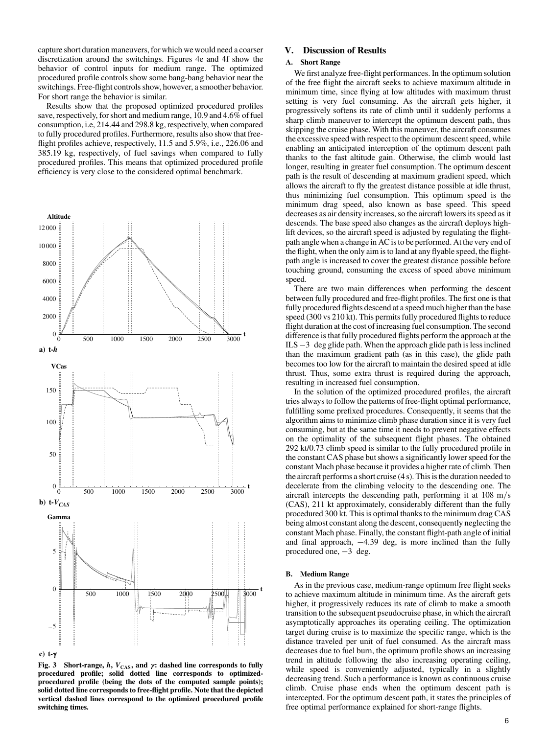capture short duration maneuvers, for which we would need a coarser discretization around the switchings. Figures 4e and 4f show the behavior of control inputs for medium range. The optimized procedured profile controls show some bang-bang behavior near the switchings. Free-flight controls show, however, a smoother behavior. For short range the behavior is similar.

Results show that the proposed optimized procedured profiles save, respectively, for short and medium range, 10.9 and 4.6% of fuel consumption, i.e, 214.44 and 298.8 kg, respectively, when compared to fully procedured profiles. Furthermore, results also show that freeflight profiles achieve, respectively, 11.5 and 5.9%, i.e., 226.06 and 385.19 kg, respectively, of fuel savings when compared to fully procedured profiles. This means that optimized procedured profile efficiency is very close to the considered optimal benchmark.



#### **c) t-**γ

Fig. 3 Short-range, h,  $V_{\text{CAS}}$ , and y: dashed line corresponds to fully procedured profile; solid dotted line corresponds to optimizedprocedured profile (being the dots of the computed sample points); solid dotted line corresponds to free-flight profile. Note that the depicted vertical dashed lines correspond to the optimized procedured profile switching times.

# V. Discussion of Results

# A. Short Range

We first analyze free-flight performances. In the optimum solution of the free flight the aircraft seeks to achieve maximum altitude in minimum time, since flying at low altitudes with maximum thrust setting is very fuel consuming. As the aircraft gets higher, it progressively softens its rate of climb until it suddenly performs a sharp climb maneuver to intercept the optimum descent path, thus skipping the cruise phase. With this maneuver, the aircraft consumes the excessive speed with respect to the optimum descent speed, while enabling an anticipated interception of the optimum descent path thanks to the fast altitude gain. Otherwise, the climb would last longer, resulting in greater fuel consumption. The optimum descent path is the result of descending at maximum gradient speed, which allows the aircraft to fly the greatest distance possible at idle thrust, thus minimizing fuel consumption. This optimum speed is the minimum drag speed, also known as base speed. This speed decreases as air density increases, so the aircraft lowers its speed as it descends. The base speed also changes as the aircraft deploys highlift devices, so the aircraft speed is adjusted by regulating the flightpath angle when a change in AC is to be performed. At the very end of the flight, when the only aim is to land at any flyable speed, the flightpath angle is increased to cover the greatest distance possible before touching ground, consuming the excess of speed above minimum speed.

There are two main differences when performing the descent between fully procedured and free-flight profiles. The first one is that fully procedured flights descend at a speed much higher than the base speed (300 vs 210 kt). This permits fully procedured flights to reduce flight duration at the cost of increasing fuel consumption. The second difference is that fully procedured flights perform the approach at the  $ILS - 3$  deg glide path. When the approach glide path is less inclined than the maximum gradient path (as in this case), the glide path becomes too low for the aircraft to maintain the desired speed at idle thrust. Thus, some extra thrust is required during the approach, resulting in increased fuel consumption.

In the solution of the optimized procedured profiles, the aircraft tries always to follow the patterns of free-flight optimal performance, fulfilling some prefixed procedures. Consequently, it seems that the algorithm aims to minimize climb phase duration since it is very fuel consuming, but at the same time it needs to prevent negative effects on the optimality of the subsequent flight phases. The obtained 292 kt/0.73 climb speed is similar to the fully procedured profile in the constant CAS phase but shows a significantly lower speed for the constant Mach phase because it provides a higher rate of climb. Then the aircraft performs a short cruise (4 s). This is the duration needed to decelerate from the climbing velocity to the descending one. The aircraft intercepts the descending path, performing it at 108 m/s (CAS), 211 kt approximately, considerably different than the fully procedured 300 kt. This is optimal thanks to the minimum drag CAS being almost constant along the descent, consequently neglecting the constant Mach phase. Finally, the constant flight-path angle of initial and final approach,  $-4.39$  deg, is more inclined than the fully procedured one,  $-3$  deg.

#### B. Medium Range

**t**

As in the previous case, medium-range optimum free flight seeks to achieve maximum altitude in minimum time. As the aircraft gets higher, it progressively reduces its rate of climb to make a smooth transition to the subsequent pseudocruise phase, in which the aircraft asymptotically approaches its operating ceiling. The optimization target during cruise is to maximize the specific range, which is the distance traveled per unit of fuel consumed. As the aircraft mass decreases due to fuel burn, the optimum profile shows an increasing trend in altitude following the also increasing operating ceiling, while speed is conveniently adjusted, typically in a slightly decreasing trend. Such a performance is known as continuous cruise climb. Cruise phase ends when the optimum descent path is intercepted. For the optimum descent path, it states the principles of free optimal performance explained for short-range flights.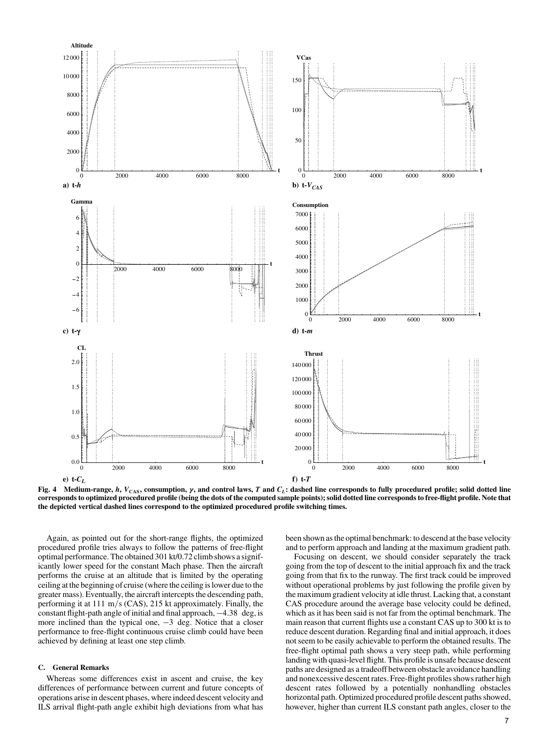

Fig. 4 Medium-range,  $h$ ,  $V_{\text{CAS}}$ , consumption,  $\gamma$ , and control laws, T and  $C_L$ : dashed line corresponds to fully procedured profile; solid dotted line corresponds to optimized procedured profile (being the dots of the computed sample points); solid dotted line corresponds to free-flight profile. Note that the depicted vertical dashed lines correspond to the optimized procedured profile switching times.

Again, as pointed out for the short-range flights, the optimized procedured profile tries always to follow the patterns of free-flight optimal performance. The obtained 301 kt/0.72 climb shows a significantly lower speed for the constant Mach phase. Then the aircraft performs the cruise at an altitude that is limited by the operating ceiling at the beginning of cruise (where the ceiling is lower due to the greater mass). Eventually, the aircraft intercepts the descending path, performing it at 111 m/s (CAS), 215 kt approximately. Finally, the constant flight-path angle of initial and final approach,  $-4.38$  deg, is more inclined than the typical one,  $-3$  deg. Notice that a closer performance to free-flight continuous cruise climb could have been achieved by defining at least one step climb.

# C. General Remarks

Whereas some differences exist in ascent and cruise, the key differences of performance between current and future concepts of operations arise in descent phases, where indeed descent velocity and ILS arrival flight-path angle exhibit high deviations from what has been shown as the optimal benchmark: to descend at the base velocity and to perform approach and landing at the maximum gradient path.

Focusing on descent, we should consider separately the track going from the top of descent to the initial approach fix and the track going from that fix to the runway. The first track could be improved without operational problems by just following the profile given by the maximum gradient velocity at idle thrust. Lacking that, a constant CAS procedure around the average base velocity could be defined, which as it has been said is not far from the optimal benchmark. The main reason that current flights use a constant CAS up to 300 kt is to reduce descent duration. Regarding final and initial approach, it does not seem to be easily achievable to perform the obtained results. The free-flight optimal path shows a very steep path, while performing landing with quasi-level flight. This profile is unsafe because descent paths are designed as a tradeoff between obstacle avoidance handling and nonexcessive descent rates. Free-flight profiles shows rather high descent rates followed by a potentially nonhandling obstacles horizontal path. Optimized procedured profile descent paths showed, however, higher than current ILS constant path angles, closer to the